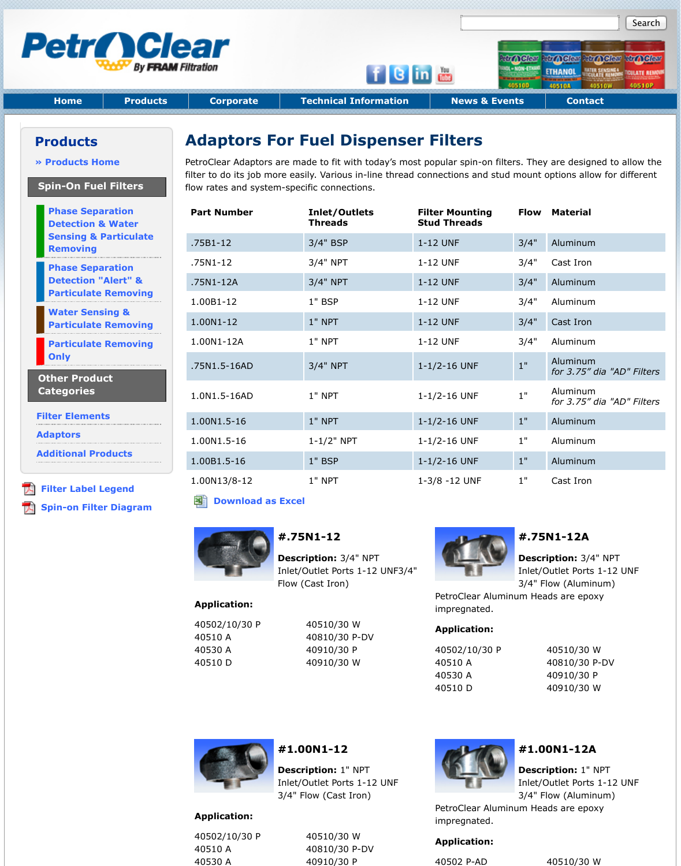|  | <b>Removing</b>                                                                          | .75B1-12     | 3/4" BSP       | 1-12 UNF           |
|--|------------------------------------------------------------------------------------------|--------------|----------------|--------------------|
|  | <b>Phase Separation</b><br><b>Detection "Alert" &amp;</b><br><b>Particulate Removing</b> | .75N1-12     | $3/4"$ NPT     | 1-12 UNF           |
|  |                                                                                          | .75N1-12A    | $3/4"$ NPT     | 1-12 UNF           |
|  |                                                                                          | 1.00B1-12    | $1"$ BSP       | 1-12 UNF           |
|  | <b>Water Sensing &amp;</b><br><b>Particulate Removing</b>                                | 1.00N1-12    | 1" NPT         | 1-12 UNF           |
|  | <b>Particulate Removing</b>                                                              | 1.00N1-12A   | 1" NPT         | 1-12 UNF           |
|  | Only                                                                                     | .75N1.5-16AD | $3/4"$ NPT     | $1 - 1/2 - 16$ UNF |
|  | <b>Other Product</b><br><b>Categories</b>                                                | 1.0N1.5-16AD | 1" NPT         | $1 - 1/2 - 16$ UNF |
|  | <b>Filter Elements</b>                                                                   | 1.00N1.5-16  | 1" NPT         | $1 - 1/2 - 16$ UNF |
|  | <b>Adaptors</b>                                                                          | 1.00N1.5-16  | $1 - 1/2"$ NPT | $1 - 1/2 - 16$ UNF |
|  | <b>Additional Products</b>                                                               | 1.00B1.5-16  | 1" BSP         | $1 - 1/2 - 16$ UNF |
|  | <b>Filter Label Legend</b>                                                               | 1.00N13/8-12 | 1" NPT         | 1-3/8 -12 UNF      |
|  |                                                                                          |              |                |                    |

**E** S[pin-on Filter Diagram](http://www.petroclear.com/products/spin-on-filters/blue/filter-selection-blue.html)

| .75N1-12     | $3/4"$ NPT     | 1-12 UNF           |
|--------------|----------------|--------------------|
| .75N1-12A    | $3/4"$ NPT     | 1-12 UNF           |
| 1.00B1-12    | 1" BSP         | 1-12 UNF           |
| 1.00N1-12    | 1" NPT         | 1-12 UNF           |
| 1.00N1-12A   | 1" NPT         | 1-12 UNF           |
| .75N1.5-16AD | $3/4"$ NPT     | $1 - 1/2 - 16$ UNF |
| 1.0N1.5-16AD | 1" NPT         | $1 - 1/2 - 16$ UNF |
| 1.00N1.5-16  | 1" NPT         | $1 - 1/2 - 16$ UNF |
| 1.00N1.5-16  | $1 - 1/2"$ NPT | $1 - 1/2 - 16$ UNF |
| 1.00B1.5-16  | 1" BSP         | $1 - 1/2 - 16$ UNF |
| 1.00N13/8-12 | 1" NPT         | 1-3/8 -12 UNF      |

**E** Download as Excel



# **#.75N1-12**

**Description:** 3/4" NPT Inlet/Outlet Ports 1-12 UNF3/4" Flow (Cast Iron)

**Application:**

40502/10/30 P 40510 A 40530 A 40510 D

40510/30 W 40810/30 P-DV 40910/30 P 40910/30 W



PetroClear impregnate

## **Application:**

40502/10/3 40510 A 40530 A 40510 D



**[#1.00N1](http://www.petroclear.com/products/adaptors/adaptor-chart.xls)-12**

**Description:** 1" NPT Inlet/Outlet Ports 1-12 UNF 3/4" Flow (Cast Iron)

**Application:**

40502/10/30 P 40510 A 40530 A

40510/30 W 40810/30 P-DV 40910/30 P



PetroClear impregnate

# **Application:**

40502 P-AD